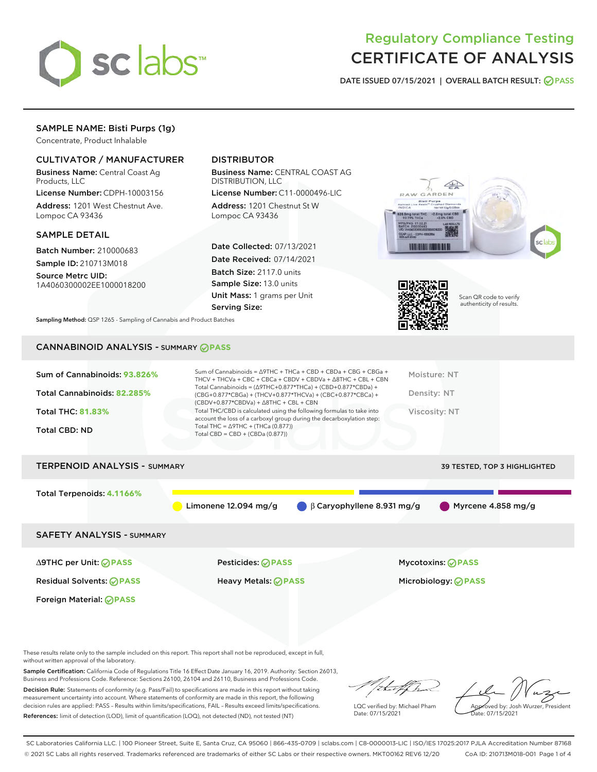

# Regulatory Compliance Testing CERTIFICATE OF ANALYSIS

DATE ISSUED 07/15/2021 | OVERALL BATCH RESULT: @ PASS

## SAMPLE NAME: Bisti Purps (1g)

Concentrate, Product Inhalable

## CULTIVATOR / MANUFACTURER

Business Name: Central Coast Ag Products, LLC

License Number: CDPH-10003156 Address: 1201 West Chestnut Ave. Lompoc CA 93436

### SAMPLE DETAIL

Batch Number: 210000683

Sample ID: 210713M018 Source Metrc UID:

1A4060300002EE1000018200

## DISTRIBUTOR

Business Name: CENTRAL COAST AG DISTRIBUTION, LLC

License Number: C11-0000496-LIC Address: 1201 Chestnut St W Lompoc CA 93436

Date Collected: 07/13/2021 Date Received: 07/14/2021 Batch Size: 2117.0 units Sample Size: 13.0 units Unit Mass: 1 grams per Unit Serving Size:





Scan QR code to verify authenticity of results.

Sampling Method: QSP 1265 - Sampling of Cannabis and Product Batches

## CANNABINOID ANALYSIS - SUMMARY **PASS**

| Total THC/CBD is calculated using the following formulas to take into<br><b>Total THC: 81.83%</b><br>Viscosity: NT<br>account the loss of a carboxyl group during the decarboxylation step:<br>Total THC = $\triangle$ 9THC + (THCa (0.877))<br><b>Total CBD: ND</b> | Sum of Cannabinoids: 93.826%<br>Total Cannabinoids: 82.285% | Sum of Cannabinoids = $\triangle$ 9THC + THCa + CBD + CBDa + CBG + CBGa +<br>THCV + THCVa + CBC + CBCa + CBDV + CBDVa + $\Delta$ 8THC + CBL + CBN<br>Total Cannabinoids = $(\Delta 9THC + 0.877*THCa) + (CBD + 0.877*CBDa) +$<br>(CBG+0.877*CBGa) + (THCV+0.877*THCVa) + (CBC+0.877*CBCa) +<br>$(CBDV+0.877*CBDVa) + \Delta 8THC + CBL + CBN$ | Moisture: NT<br>Density: NT |
|----------------------------------------------------------------------------------------------------------------------------------------------------------------------------------------------------------------------------------------------------------------------|-------------------------------------------------------------|-----------------------------------------------------------------------------------------------------------------------------------------------------------------------------------------------------------------------------------------------------------------------------------------------------------------------------------------------|-----------------------------|
|                                                                                                                                                                                                                                                                      |                                                             | Total CBD = $CBD + (CBDa (0.877))$                                                                                                                                                                                                                                                                                                            |                             |

## TERPENOID ANALYSIS - SUMMARY 39 TESTED, TOP 3 HIGHLIGHTED

Total Terpenoids: **4.1166%** Limonene 12.094 mg/g  $\beta$  Caryophyllene 8.931 mg/g Myrcene 4.858 mg/g SAFETY ANALYSIS - SUMMARY ∆9THC per Unit: **PASS** Pesticides: **PASS** Mycotoxins: **PASS** Residual Solvents: **PASS** Heavy Metals: **PASS** Microbiology: **PASS** Foreign Material: **PASS**

These results relate only to the sample included on this report. This report shall not be reproduced, except in full, without written approval of the laboratory.

Sample Certification: California Code of Regulations Title 16 Effect Date January 16, 2019. Authority: Section 26013, Business and Professions Code. Reference: Sections 26100, 26104 and 26110, Business and Professions Code.

Decision Rule: Statements of conformity (e.g. Pass/Fail) to specifications are made in this report without taking measurement uncertainty into account. Where statements of conformity are made in this report, the following decision rules are applied: PASS – Results within limits/specifications, FAIL – Results exceed limits/specifications. References: limit of detection (LOD), limit of quantification (LOQ), not detected (ND), not tested (NT)

that for

LQC verified by: Michael Pham Date: 07/15/2021

Approved by: Josh Wurzer, President ate: 07/15/2021

SC Laboratories California LLC. | 100 Pioneer Street, Suite E, Santa Cruz, CA 95060 | 866-435-0709 | sclabs.com | C8-0000013-LIC | ISO/IES 17025:2017 PJLA Accreditation Number 87168 © 2021 SC Labs all rights reserved. Trademarks referenced are trademarks of either SC Labs or their respective owners. MKT00162 REV6 12/20 CoA ID: 210713M018-001 Page 1 of 4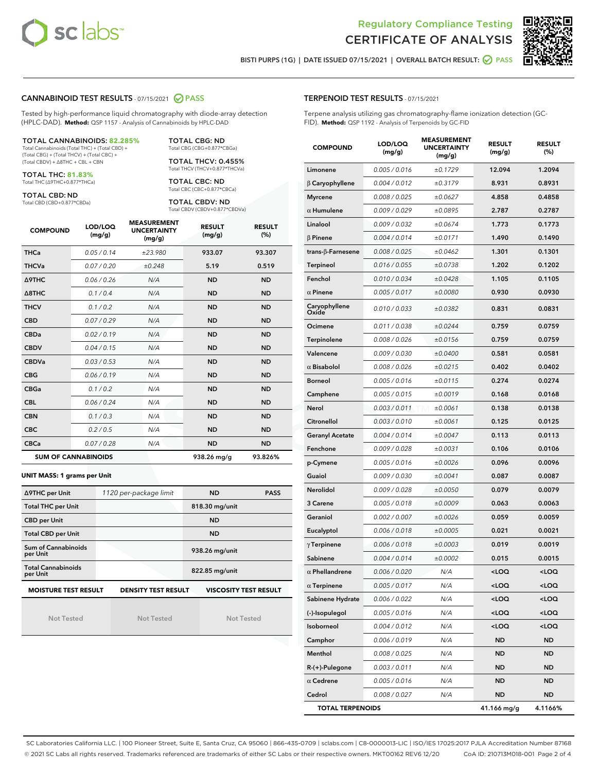



BISTI PURPS (1G) | DATE ISSUED 07/15/2021 | OVERALL BATCH RESULT: ◯ PASS

#### CANNABINOID TEST RESULTS - 07/15/2021 2 PASS

Tested by high-performance liquid chromatography with diode-array detection (HPLC-DAD). **Method:** QSP 1157 - Analysis of Cannabinoids by HPLC-DAD

#### TOTAL CANNABINOIDS: **82.285%**

Total Cannabinoids (Total THC) + (Total CBD) + (Total CBG) + (Total THCV) + (Total CBC) + (Total CBDV) + ∆8THC + CBL + CBN

TOTAL THC: **81.83%** Total THC (∆9THC+0.877\*THCa)

TOTAL CBD: ND

Total CBD (CBD+0.877\*CBDa)

TOTAL CBG: ND Total CBG (CBG+0.877\*CBGa)

TOTAL THCV: 0.455% Total THCV (THCV+0.877\*THCVa)

TOTAL CBC: ND Total CBC (CBC+0.877\*CBCa)

TOTAL CBDV: ND Total CBDV (CBDV+0.877\*CBDVa)

| <b>COMPOUND</b>            | LOD/LOQ<br>(mg/g) | <b>MEASUREMENT</b><br><b>UNCERTAINTY</b><br>(mg/g) | <b>RESULT</b><br>(mg/g) | <b>RESULT</b><br>(%) |
|----------------------------|-------------------|----------------------------------------------------|-------------------------|----------------------|
| <b>THCa</b>                | 0.05/0.14         | ±23.980                                            | 933.07                  | 93.307               |
| <b>THCVa</b>               | 0.07/0.20         | ±0.248                                             | 5.19                    | 0.519                |
| Δ9THC                      | 0.06 / 0.26       | N/A                                                | <b>ND</b>               | <b>ND</b>            |
| $\triangle$ 8THC           | 0.1/0.4           | N/A                                                | <b>ND</b>               | <b>ND</b>            |
| <b>THCV</b>                | 0.1/0.2           | N/A                                                | <b>ND</b>               | <b>ND</b>            |
| <b>CBD</b>                 | 0.07/0.29         | N/A                                                | <b>ND</b>               | <b>ND</b>            |
| <b>CBDa</b>                | 0.02/0.19         | N/A                                                | <b>ND</b>               | <b>ND</b>            |
| <b>CBDV</b>                | 0.04 / 0.15       | N/A                                                | <b>ND</b>               | <b>ND</b>            |
| <b>CBDVa</b>               | 0.03/0.53         | N/A                                                | <b>ND</b>               | <b>ND</b>            |
| <b>CBG</b>                 | 0.06/0.19         | N/A                                                | <b>ND</b>               | <b>ND</b>            |
| <b>CBGa</b>                | 0.1/0.2           | N/A                                                | <b>ND</b>               | <b>ND</b>            |
| <b>CBL</b>                 | 0.06 / 0.24       | N/A                                                | <b>ND</b>               | <b>ND</b>            |
| <b>CBN</b>                 | 0.1/0.3           | N/A                                                | <b>ND</b>               | <b>ND</b>            |
| <b>CBC</b>                 | 0.2 / 0.5         | N/A                                                | <b>ND</b>               | <b>ND</b>            |
| <b>CBCa</b>                | 0.07 / 0.28       | N/A                                                | <b>ND</b>               | <b>ND</b>            |
| <b>SUM OF CANNABINOIDS</b> |                   |                                                    | 938.26 mg/g             | 93.826%              |

#### **UNIT MASS: 1 grams per Unit**

| ∆9THC per Unit                                                                            | 1120 per-package limit | <b>ND</b>      | <b>PASS</b> |  |  |
|-------------------------------------------------------------------------------------------|------------------------|----------------|-------------|--|--|
| <b>Total THC per Unit</b>                                                                 |                        | 818.30 mg/unit |             |  |  |
| <b>CBD per Unit</b>                                                                       |                        | <b>ND</b>      |             |  |  |
| <b>Total CBD per Unit</b>                                                                 |                        | <b>ND</b>      |             |  |  |
| Sum of Cannabinoids<br>per Unit                                                           |                        | 938.26 mg/unit |             |  |  |
| <b>Total Cannabinoids</b><br>per Unit                                                     |                        | 822.85 mg/unit |             |  |  |
| <b>MOISTURE TEST RESULT</b><br><b>VISCOSITY TEST RESULT</b><br><b>DENSITY TEST RESULT</b> |                        |                |             |  |  |

Not Tested

Not Tested

Not Tested

#### TERPENOID TEST RESULTS - 07/15/2021

Terpene analysis utilizing gas chromatography-flame ionization detection (GC-FID). **Method:** QSP 1192 - Analysis of Terpenoids by GC-FID

| <b>COMPOUND</b>           | LOD/LOQ<br>(mg/g) | <b>MEASUREMENT</b><br><b>UNCERTAINTY</b><br>(mg/g) | <b>RESULT</b><br>(mg/g)                         | <b>RESULT</b><br>(%) |
|---------------------------|-------------------|----------------------------------------------------|-------------------------------------------------|----------------------|
| Limonene                  | 0.005 / 0.016     | ±0.1729                                            | 12.094                                          | 1.2094               |
| $\beta$ Caryophyllene     | 0.004 / 0.012     | ±0.3179                                            | 8.931                                           | 0.8931               |
| <b>Myrcene</b>            | 0.008 / 0.025     | ±0.0627                                            | 4.858                                           | 0.4858               |
| $\alpha$ Humulene         | 0.009 / 0.029     | ±0.0895                                            | 2.787                                           | 0.2787               |
| Linalool                  | 0.009 / 0.032     | ±0.0674                                            | 1.773                                           | 0.1773               |
| $\beta$ Pinene            | 0.004 / 0.014     | ±0.0171                                            | 1.490                                           | 0.1490               |
| trans- $\beta$ -Farnesene | 0.008 / 0.025     | ±0.0462                                            | 1.301                                           | 0.1301               |
| <b>Terpineol</b>          | 0.016 / 0.055     | ±0.0738                                            | 1.202                                           | 0.1202               |
| Fenchol                   | 0.010 / 0.034     | ±0.0428                                            | 1.105                                           | 0.1105               |
| $\alpha$ Pinene           | 0.005 / 0.017     | ±0.0080                                            | 0.930                                           | 0.0930               |
| Caryophyllene<br>Oxide    | 0.010 / 0.033     | ±0.0382                                            | 0.831                                           | 0.0831               |
| Ocimene                   | 0.011 / 0.038     | ±0.0244                                            | 0.759                                           | 0.0759               |
| Terpinolene               | 0.008 / 0.026     | ±0.0156                                            | 0.759                                           | 0.0759               |
| Valencene                 | 0.009 / 0.030     | ±0.0400                                            | 0.581                                           | 0.0581               |
| $\alpha$ Bisabolol        | 0.008 / 0.026     | ±0.0215                                            | 0.402                                           | 0.0402               |
| <b>Borneol</b>            | 0.005 / 0.016     | ±0.0115                                            | 0.274                                           | 0.0274               |
| Camphene                  | 0.005 / 0.015     | ±0.0019                                            | 0.168                                           | 0.0168               |
| Nerol                     | 0.003 / 0.011     | ±0.0061                                            | 0.138                                           | 0.0138               |
| Citronellol               | 0.003 / 0.010     | ±0.0061                                            | 0.125                                           | 0.0125               |
| <b>Geranyl Acetate</b>    | 0.004 / 0.014     | ±0.0047                                            | 0.113                                           | 0.0113               |
| Fenchone                  | 0.009 / 0.028     | ±0.0031                                            | 0.106                                           | 0.0106               |
| p-Cymene                  | 0.005 / 0.016     | ±0.0026                                            | 0.096                                           | 0.0096               |
| Guaiol                    | 0.009 / 0.030     | ±0.0041                                            | 0.087                                           | 0.0087               |
| Nerolidol                 | 0.009 / 0.028     | ±0.0050                                            | 0.079                                           | 0.0079               |
| 3 Carene                  | 0.005 / 0.018     | ±0.0009                                            | 0.063                                           | 0.0063               |
| Geraniol                  | 0.002 / 0.007     | ±0.0026                                            | 0.059                                           | 0.0059               |
| Eucalyptol                | 0.006 / 0.018     | ±0.0005                                            | 0.021                                           | 0.0021               |
| $\gamma$ Terpinene        | 0.006 / 0.018     | ±0.0003                                            | 0.019                                           | 0.0019               |
| Sabinene                  | 0.004 / 0.014     | ±0.0002                                            | 0.015                                           | 0.0015               |
| $\alpha$ Phellandrene     | 0.006 / 0.020     | N/A                                                | < 0                                             | <loq< th=""></loq<>  |
| $\alpha$ Terpinene        | 0.005 / 0.017     | N/A                                                | <loq< th=""><th><loq< th=""></loq<></th></loq<> | <loq< th=""></loq<>  |
| Sabinene Hydrate          | 0.006 / 0.022     | N/A                                                | <loq< th=""><th><loq< th=""></loq<></th></loq<> | <loq< th=""></loq<>  |
| (-)-Isopulegol            | 0.005 / 0.016     | N/A                                                | <loq< th=""><th><loq< th=""></loq<></th></loq<> | <loq< th=""></loq<>  |
| Isoborneol                | 0.004 / 0.012     | N/A                                                | <loq< th=""><th><loq< th=""></loq<></th></loq<> | <loq< th=""></loq<>  |
| Camphor                   | 0.006 / 0.019     | N/A                                                | ND                                              | ND                   |
| Menthol                   | 0.008 / 0.025     | N/A                                                | ND                                              | ND                   |
| $R-(+)$ -Pulegone         | 0.003 / 0.011     | N/A                                                | ND                                              | <b>ND</b>            |
| $\alpha$ Cedrene          | 0.005 / 0.016     | N/A                                                | ND                                              | ND                   |
| Cedrol                    | 0.008 / 0.027     | N/A                                                | ND                                              | <b>ND</b>            |
| <b>TOTAL TERPENOIDS</b>   |                   |                                                    | 41.166 mg/g                                     | 4.1166%              |

SC Laboratories California LLC. | 100 Pioneer Street, Suite E, Santa Cruz, CA 95060 | 866-435-0709 | sclabs.com | C8-0000013-LIC | ISO/IES 17025:2017 PJLA Accreditation Number 87168 © 2021 SC Labs all rights reserved. Trademarks referenced are trademarks of either SC Labs or their respective owners. MKT00162 REV6 12/20 CoA ID: 210713M018-001 Page 2 of 4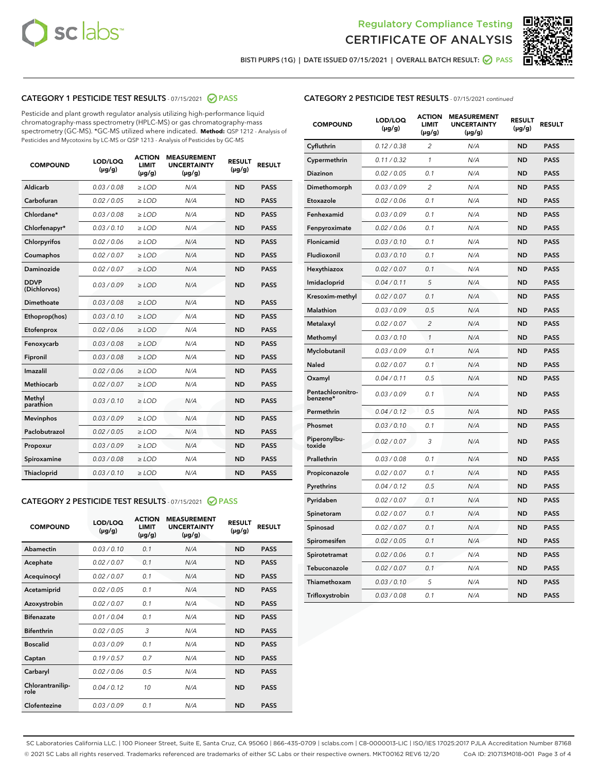



BISTI PURPS (1G) | DATE ISSUED 07/15/2021 | OVERALL BATCH RESULT: 2 PASS

## CATEGORY 1 PESTICIDE TEST RESULTS - 07/15/2021 2 PASS

Pesticide and plant growth regulator analysis utilizing high-performance liquid chromatography-mass spectrometry (HPLC-MS) or gas chromatography-mass spectrometry (GC-MS). \*GC-MS utilized where indicated. **Method:** QSP 1212 - Analysis of Pesticides and Mycotoxins by LC-MS or QSP 1213 - Analysis of Pesticides by GC-MS

| <b>COMPOUND</b>             | LOD/LOQ<br>$(\mu g/g)$ | <b>ACTION</b><br><b>LIMIT</b><br>$(\mu g/g)$ | <b>MEASUREMENT</b><br><b>UNCERTAINTY</b><br>$(\mu g/g)$ | <b>RESULT</b><br>$(\mu g/g)$ | <b>RESULT</b> |
|-----------------------------|------------------------|----------------------------------------------|---------------------------------------------------------|------------------------------|---------------|
| Aldicarb                    | 0.03 / 0.08            | $\ge$ LOD                                    | N/A                                                     | <b>ND</b>                    | <b>PASS</b>   |
| Carbofuran                  | 0.02 / 0.05            | $\geq$ LOD                                   | N/A                                                     | <b>ND</b>                    | <b>PASS</b>   |
| Chlordane*                  | 0.03 / 0.08            | $\ge$ LOD                                    | N/A                                                     | <b>ND</b>                    | <b>PASS</b>   |
| Chlorfenapyr*               | 0.03/0.10              | $\geq$ LOD                                   | N/A                                                     | <b>ND</b>                    | <b>PASS</b>   |
| Chlorpyrifos                | 0.02 / 0.06            | $\ge$ LOD                                    | N/A                                                     | <b>ND</b>                    | <b>PASS</b>   |
| Coumaphos                   | 0.02 / 0.07            | $\ge$ LOD                                    | N/A                                                     | <b>ND</b>                    | <b>PASS</b>   |
| Daminozide                  | 0.02 / 0.07            | $\ge$ LOD                                    | N/A                                                     | <b>ND</b>                    | <b>PASS</b>   |
| <b>DDVP</b><br>(Dichlorvos) | 0.03/0.09              | $>$ LOD                                      | N/A                                                     | <b>ND</b>                    | <b>PASS</b>   |
| Dimethoate                  | 0.03 / 0.08            | $\ge$ LOD                                    | N/A                                                     | <b>ND</b>                    | <b>PASS</b>   |
| Ethoprop(hos)               | 0.03/0.10              | $>$ LOD                                      | N/A                                                     | <b>ND</b>                    | <b>PASS</b>   |
| Etofenprox                  | 0.02 / 0.06            | $\ge$ LOD                                    | N/A                                                     | <b>ND</b>                    | <b>PASS</b>   |
| Fenoxycarb                  | 0.03 / 0.08            | $\ge$ LOD                                    | N/A                                                     | <b>ND</b>                    | <b>PASS</b>   |
| Fipronil                    | 0.03 / 0.08            | $\ge$ LOD                                    | N/A                                                     | <b>ND</b>                    | <b>PASS</b>   |
| Imazalil                    | 0.02 / 0.06            | $>$ LOD                                      | N/A                                                     | <b>ND</b>                    | <b>PASS</b>   |
| <b>Methiocarb</b>           | 0.02 / 0.07            | $\ge$ LOD                                    | N/A                                                     | <b>ND</b>                    | <b>PASS</b>   |
| Methyl<br>parathion         | 0.03/0.10              | $\ge$ LOD                                    | N/A                                                     | <b>ND</b>                    | <b>PASS</b>   |
| <b>Mevinphos</b>            | 0.03/0.09              | $\ge$ LOD                                    | N/A                                                     | <b>ND</b>                    | <b>PASS</b>   |
| Paclobutrazol               | 0.02 / 0.05            | $>$ LOD                                      | N/A                                                     | <b>ND</b>                    | <b>PASS</b>   |
| Propoxur                    | 0.03/0.09              | $\ge$ LOD                                    | N/A                                                     | <b>ND</b>                    | <b>PASS</b>   |
| Spiroxamine                 | 0.03 / 0.08            | $\ge$ LOD                                    | N/A                                                     | <b>ND</b>                    | <b>PASS</b>   |
| Thiacloprid                 | 0.03/0.10              | $\ge$ LOD                                    | N/A                                                     | <b>ND</b>                    | <b>PASS</b>   |

#### CATEGORY 2 PESTICIDE TEST RESULTS - 07/15/2021 @ PASS

| <b>COMPOUND</b>          | LOD/LOO<br>$(\mu g/g)$ | <b>ACTION</b><br>LIMIT<br>$(\mu g/g)$ | <b>MEASUREMENT</b><br><b>UNCERTAINTY</b><br>$(\mu g/g)$ | <b>RESULT</b><br>$(\mu g/g)$ | <b>RESULT</b> |  |
|--------------------------|------------------------|---------------------------------------|---------------------------------------------------------|------------------------------|---------------|--|
| Abamectin                | 0.03/0.10              | 0.1                                   | N/A                                                     | <b>ND</b>                    | <b>PASS</b>   |  |
| Acephate                 | 0.02/0.07              | 0.1                                   | N/A                                                     | <b>ND</b>                    | <b>PASS</b>   |  |
| Acequinocyl              | 0.02/0.07              | 0.1                                   | N/A                                                     | <b>ND</b>                    | <b>PASS</b>   |  |
| Acetamiprid              | 0.02 / 0.05            | 0.1                                   | N/A                                                     | <b>ND</b>                    | <b>PASS</b>   |  |
| Azoxystrobin             | 0.02/0.07              | 0.1                                   | N/A                                                     | <b>ND</b>                    | <b>PASS</b>   |  |
| <b>Bifenazate</b>        | 0.01 / 0.04            | 0.1                                   | N/A                                                     | <b>ND</b>                    | <b>PASS</b>   |  |
| <b>Bifenthrin</b>        | 0.02 / 0.05            | 3                                     | N/A                                                     | <b>ND</b>                    | <b>PASS</b>   |  |
| <b>Boscalid</b>          | 0.03/0.09              | 0.1                                   | N/A                                                     | <b>ND</b>                    | <b>PASS</b>   |  |
| Captan                   | 0.19/0.57              | 0.7                                   | N/A                                                     | <b>ND</b>                    | <b>PASS</b>   |  |
| Carbaryl                 | 0.02/0.06              | 0.5                                   | N/A                                                     | <b>ND</b>                    | <b>PASS</b>   |  |
| Chlorantranilip-<br>role | 0.04/0.12              | 10                                    | N/A                                                     | <b>ND</b>                    | <b>PASS</b>   |  |
| Clofentezine             | 0.03/0.09              | 0.1                                   | N/A                                                     | <b>ND</b>                    | <b>PASS</b>   |  |

| <b>CATEGORY 2 PESTICIDE TEST RESULTS</b> - 07/15/2021 continued |  |
|-----------------------------------------------------------------|--|
|                                                                 |  |

| <b>COMPOUND</b>               | LOD/LOQ<br>$(\mu g/g)$ | <b>ACTION</b><br><b>LIMIT</b><br>$(\mu g/g)$ | <b>MEASUREMENT</b><br><b>UNCERTAINTY</b><br>$(\mu g/g)$ | <b>RESULT</b><br>(µg/g) | <b>RESULT</b> |
|-------------------------------|------------------------|----------------------------------------------|---------------------------------------------------------|-------------------------|---------------|
| Cyfluthrin                    | 0.12 / 0.38            | 2                                            | N/A                                                     | ND                      | <b>PASS</b>   |
| Cypermethrin                  | 0.11 / 0.32            | $\mathbf{1}$                                 | N/A                                                     | <b>ND</b>               | <b>PASS</b>   |
| <b>Diazinon</b>               | 0.02 / 0.05            | 0.1                                          | N/A                                                     | <b>ND</b>               | <b>PASS</b>   |
| Dimethomorph                  | 0.03 / 0.09            | 2                                            | N/A                                                     | ND                      | PASS          |
| Etoxazole                     | 0.02 / 0.06            | 0.1                                          | N/A                                                     | <b>ND</b>               | <b>PASS</b>   |
| Fenhexamid                    | 0.03 / 0.09            | 0.1                                          | N/A                                                     | ND                      | <b>PASS</b>   |
| Fenpyroximate                 | 0.02 / 0.06            | 0.1                                          | N/A                                                     | ND                      | <b>PASS</b>   |
| Flonicamid                    | 0.03 / 0.10            | 0.1                                          | N/A                                                     | <b>ND</b>               | <b>PASS</b>   |
| Fludioxonil                   | 0.03 / 0.10            | 0.1                                          | N/A                                                     | <b>ND</b>               | <b>PASS</b>   |
| Hexythiazox                   | 0.02 / 0.07            | 0.1                                          | N/A                                                     | <b>ND</b>               | <b>PASS</b>   |
| Imidacloprid                  | 0.04 / 0.11            | 5                                            | N/A                                                     | <b>ND</b>               | <b>PASS</b>   |
| Kresoxim-methyl               | 0.02 / 0.07            | 0.1                                          | N/A                                                     | <b>ND</b>               | <b>PASS</b>   |
| <b>Malathion</b>              | 0.03 / 0.09            | 0.5                                          | N/A                                                     | ND                      | PASS          |
| Metalaxyl                     | 0.02 / 0.07            | $\overline{2}$                               | N/A                                                     | ND                      | <b>PASS</b>   |
| Methomyl                      | 0.03 / 0.10            | 1                                            | N/A                                                     | ND                      | <b>PASS</b>   |
| Myclobutanil                  | 0.03 / 0.09            | 0.1                                          | N/A                                                     | ND                      | <b>PASS</b>   |
| <b>Naled</b>                  | 0.02 / 0.07            | 0.1                                          | N/A                                                     | ND                      | <b>PASS</b>   |
| Oxamyl                        | 0.04 / 0.11            | 0.5                                          | N/A                                                     | ND                      | <b>PASS</b>   |
| Pentachloronitro-<br>benzene* | 0.03 / 0.09            | 0.1                                          | N/A                                                     | <b>ND</b>               | <b>PASS</b>   |
| Permethrin                    | 0.04 / 0.12            | 0.5                                          | N/A                                                     | ND                      | PASS          |
| Phosmet                       | 0.03/0.10              | 0.1                                          | N/A                                                     | <b>ND</b>               | <b>PASS</b>   |
| Piperonylbu-<br>toxide        | 0.02 / 0.07            | 3                                            | N/A                                                     | ND                      | <b>PASS</b>   |
| Prallethrin                   | 0.03 / 0.08            | 0.1                                          | N/A                                                     | <b>ND</b>               | <b>PASS</b>   |
| Propiconazole                 | 0.02 / 0.07            | 0.1                                          | N/A                                                     | ND                      | <b>PASS</b>   |
| Pyrethrins                    | 0.04 / 0.12            | 0.5                                          | N/A                                                     | <b>ND</b>               | <b>PASS</b>   |
| Pyridaben                     | 0.02 / 0.07            | 0.1                                          | N/A                                                     | <b>ND</b>               | PASS          |
| Spinetoram                    | 0.02 / 0.07            | 0.1                                          | N/A                                                     | <b>ND</b>               | <b>PASS</b>   |
| Spinosad                      | 0.02 / 0.07            | 0.1                                          | N/A                                                     | ND                      | <b>PASS</b>   |
| Spiromesifen                  | 0.02 / 0.05            | 0.1                                          | N/A                                                     | ND                      | PASS          |
| Spirotetramat                 | 0.02 / 0.06            | 0.1                                          | N/A                                                     | ND                      | <b>PASS</b>   |
| Tebuconazole                  | 0.02 / 0.07            | 0.1                                          | N/A                                                     | <b>ND</b>               | <b>PASS</b>   |
| Thiamethoxam                  | 0.03 / 0.10            | 5                                            | N/A                                                     | ND                      | <b>PASS</b>   |
| Trifloxystrobin               | 0.03 / 0.08            | 0.1                                          | N/A                                                     | <b>ND</b>               | <b>PASS</b>   |

SC Laboratories California LLC. | 100 Pioneer Street, Suite E, Santa Cruz, CA 95060 | 866-435-0709 | sclabs.com | C8-0000013-LIC | ISO/IES 17025:2017 PJLA Accreditation Number 87168 © 2021 SC Labs all rights reserved. Trademarks referenced are trademarks of either SC Labs or their respective owners. MKT00162 REV6 12/20 CoA ID: 210713M018-001 Page 3 of 4